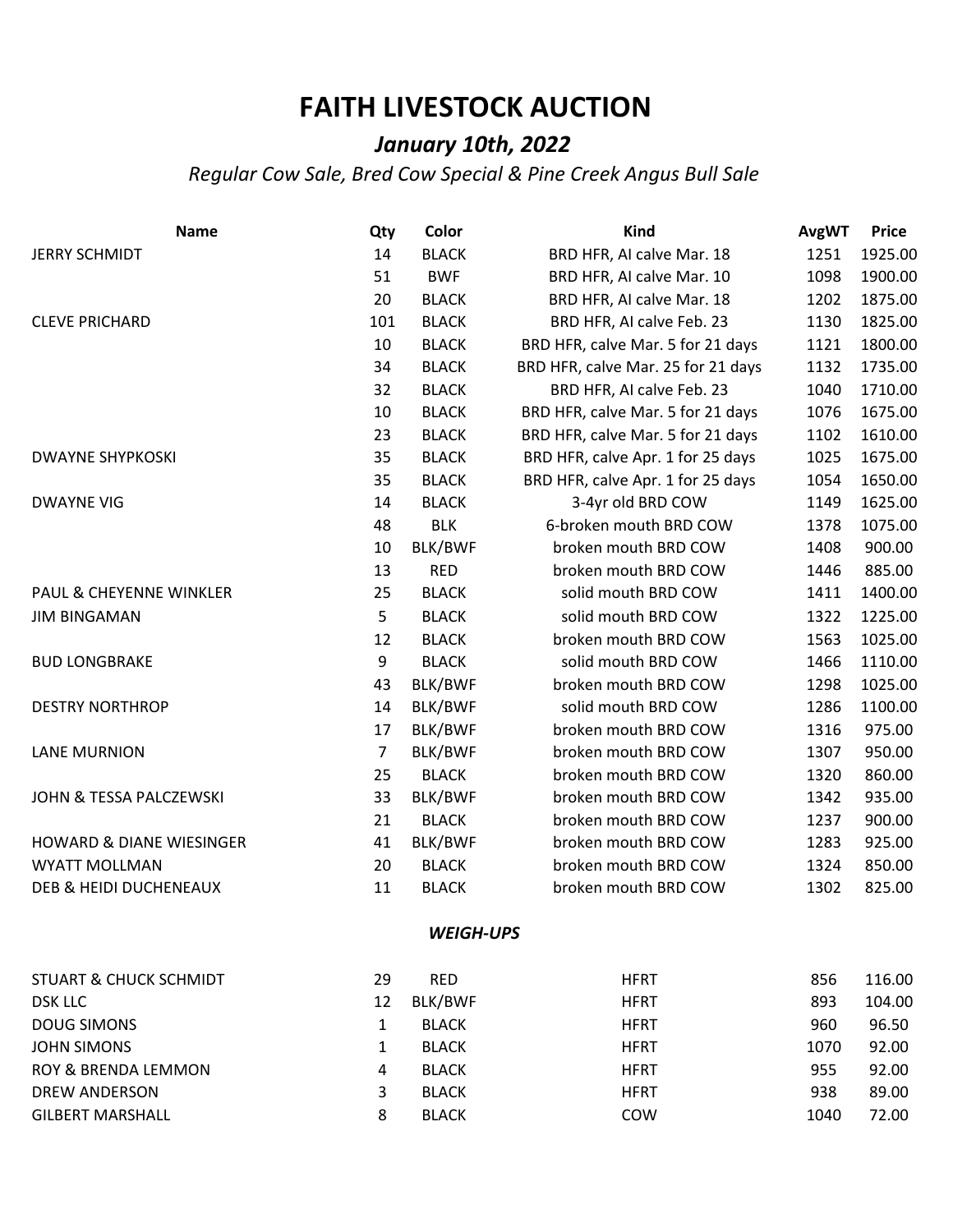## **FAITH LIVESTOCK AUCTION**

## *January 10th, 2022*

*Regular Cow Sale, Bred Cow Special & Pine Creek Angus Bull Sale*

| <b>Name</b>                         | Qty            | Color            | Kind                               | <b>AvgWT</b> | <b>Price</b> |
|-------------------------------------|----------------|------------------|------------------------------------|--------------|--------------|
| <b>JERRY SCHMIDT</b>                | 14             | <b>BLACK</b>     | BRD HFR, AI calve Mar. 18          | 1251         | 1925.00      |
|                                     | 51             | <b>BWF</b>       | BRD HFR, AI calve Mar. 10          | 1098         | 1900.00      |
|                                     | 20             | <b>BLACK</b>     | BRD HFR, AI calve Mar. 18          | 1202         | 1875.00      |
| <b>CLEVE PRICHARD</b>               | 101            | <b>BLACK</b>     | BRD HFR, AI calve Feb. 23          | 1130         | 1825.00      |
|                                     | 10             | <b>BLACK</b>     | BRD HFR, calve Mar. 5 for 21 days  | 1121         | 1800.00      |
|                                     | 34             | <b>BLACK</b>     | BRD HFR, calve Mar. 25 for 21 days | 1132         | 1735.00      |
|                                     | 32             | <b>BLACK</b>     | BRD HFR, AI calve Feb. 23          | 1040         | 1710.00      |
|                                     | 10             | <b>BLACK</b>     | BRD HFR, calve Mar. 5 for 21 days  | 1076         | 1675.00      |
|                                     | 23             | <b>BLACK</b>     | BRD HFR, calve Mar. 5 for 21 days  | 1102         | 1610.00      |
| <b>DWAYNE SHYPKOSKI</b>             | 35             | <b>BLACK</b>     | BRD HFR, calve Apr. 1 for 25 days  | 1025         | 1675.00      |
|                                     | 35             | <b>BLACK</b>     | BRD HFR, calve Apr. 1 for 25 days  | 1054         | 1650.00      |
| <b>DWAYNE VIG</b>                   | 14             | <b>BLACK</b>     | 3-4yr old BRD COW                  | 1149         | 1625.00      |
|                                     | 48             | <b>BLK</b>       | 6-broken mouth BRD COW             | 1378         | 1075.00      |
|                                     | 10             | BLK/BWF          | broken mouth BRD COW               | 1408         | 900.00       |
|                                     | 13             | <b>RED</b>       | broken mouth BRD COW               | 1446         | 885.00       |
| PAUL & CHEYENNE WINKLER             | 25             | <b>BLACK</b>     | solid mouth BRD COW                | 1411         | 1400.00      |
| <b>JIM BINGAMAN</b>                 | 5              | <b>BLACK</b>     | solid mouth BRD COW                | 1322         | 1225.00      |
|                                     | 12             | <b>BLACK</b>     | broken mouth BRD COW               | 1563         | 1025.00      |
| <b>BUD LONGBRAKE</b>                | 9              | <b>BLACK</b>     | solid mouth BRD COW                | 1466         | 1110.00      |
|                                     | 43             | BLK/BWF          | broken mouth BRD COW               | 1298         | 1025.00      |
| <b>DESTRY NORTHROP</b>              | 14             | BLK/BWF          | solid mouth BRD COW                | 1286         | 1100.00      |
|                                     | 17             | BLK/BWF          | broken mouth BRD COW               | 1316         | 975.00       |
| <b>LANE MURNION</b>                 | $\overline{7}$ | BLK/BWF          | broken mouth BRD COW<br>1307       |              | 950.00       |
|                                     | 25             | <b>BLACK</b>     | broken mouth BRD COW               | 1320         | 860.00       |
| JOHN & TESSA PALCZEWSKI             | 33             | BLK/BWF          | broken mouth BRD COW               | 1342         | 935.00       |
|                                     | 21             | <b>BLACK</b>     | broken mouth BRD COW               | 1237         | 900.00       |
| <b>HOWARD &amp; DIANE WIESINGER</b> | 41             | BLK/BWF          | broken mouth BRD COW               | 1283         | 925.00       |
| <b>WYATT MOLLMAN</b>                | 20             | <b>BLACK</b>     | broken mouth BRD COW               | 1324         | 850.00       |
| DEB & HEIDI DUCHENEAUX              | 11             | <b>BLACK</b>     | broken mouth BRD COW               | 1302         | 825.00       |
|                                     |                | <b>WEIGH-UPS</b> |                                    |              |              |
| <b>STUART &amp; CHUCK SCHMIDT</b>   | 29             | <b>RED</b>       | <b>HFRT</b>                        | 856          | 116.00       |
| <b>DSK LLC</b>                      | 12             | BLK/BWF          | <b>HFRT</b>                        | 893          | 104.00       |
| <b>DOUG SIMONS</b>                  | $\mathbf{1}$   | <b>BLACK</b>     | <b>HFRT</b>                        | 960          | 96.50        |
| <b>JOHN SIMONS</b>                  | 1              | <b>BLACK</b>     | <b>HFRT</b>                        | 1070         | 92.00        |
| ROY & BRENDA LEMMON                 | 4              | <b>BLACK</b>     | <b>HFRT</b>                        | 955          | 92.00        |
| <b>DREW ANDERSON</b>                | 3              | <b>BLACK</b>     | <b>HFRT</b>                        | 938          | 89.00        |
| <b>GILBERT MARSHALL</b>             | 8              | <b>BLACK</b>     | COW                                | 1040         | 72.00        |
|                                     |                |                  |                                    |              |              |